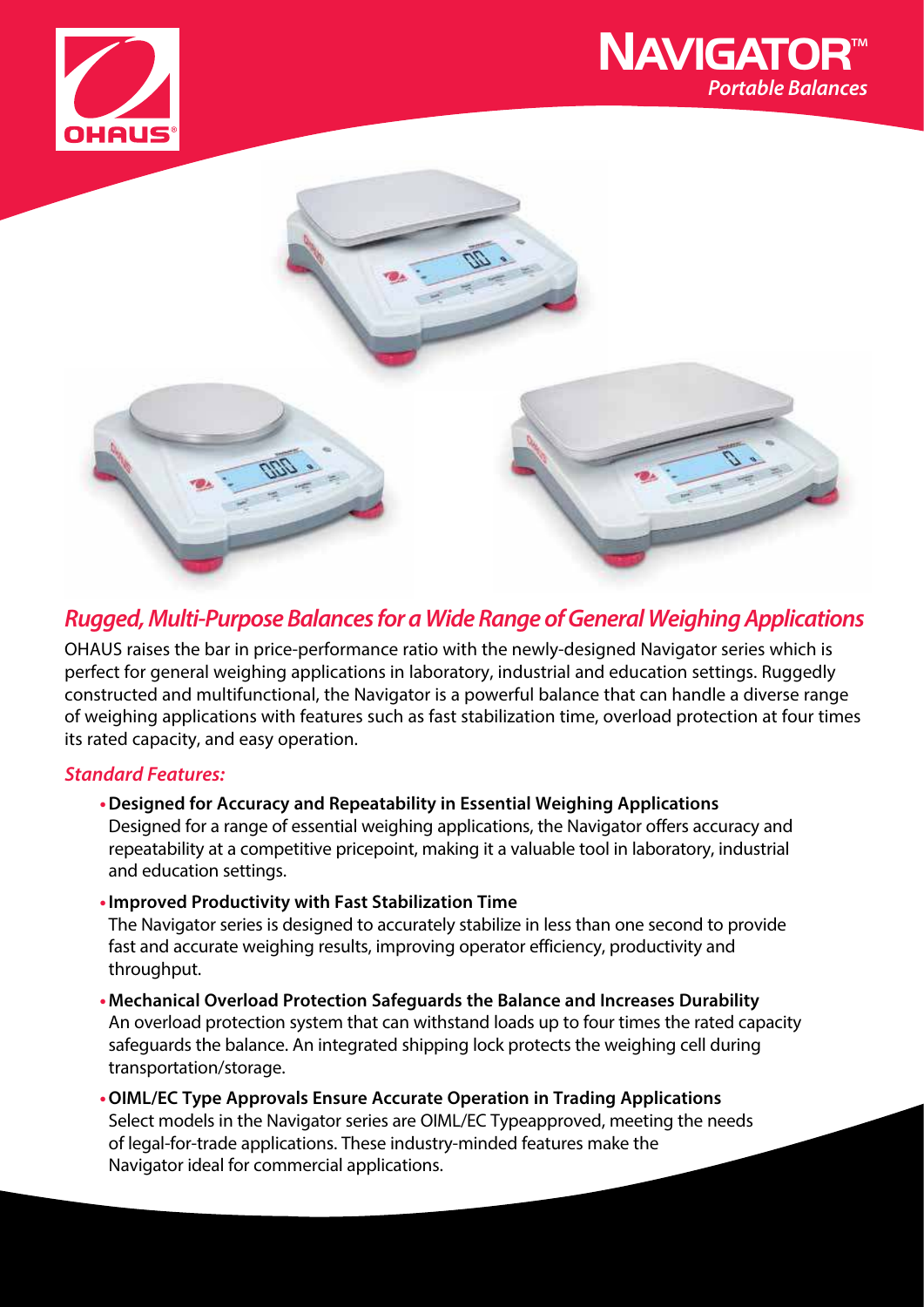





# **Rugged, Multi-Purpose Balances for a Wide Range of General Weighing Applications**

OHAUS raises the bar in price-performance ratio with the newly-designed Navigator series which is perfect for general weighing applications in laboratory, industrial and education settings. Ruggedly constructed and multifunctional, the Navigator is a powerful balance that can handle a diverse range of weighing applications with features such as fast stabilization time, overload protection at four times its rated capacity, and easy operation.

### **Standard Features:**

- **Designed for Accuracy and Repeatability in Essential Weighing Applications** Designed for a range of essential weighing applications, the Navigator offers accuracy and repeatability at a competitive pricepoint, making it a valuable tool in laboratory, industrial and education settings.
- **Improved Productivity with Fast Stabilization Time**

The Navigator series is designed to accurately stabilize in less than one second to provide fast and accurate weighing results, improving operator efficiency, productivity and throughput.

**• Mechanical Overload Protection Safeguards the Balance and Increases Durability** An overload protection system that can withstand loads up to four times the rated capacity safeguards the balance. An integrated shipping lock protects the weighing cell during transportation/storage.

**• OIML/EC Type Approvals Ensure Accurate Operation in Trading Applications** Select models in the Navigator series are OIML/EC Typeapproved, meeting the needs of legal-for-trade applications. These industry-minded features make the Navigator ideal for commercial applications.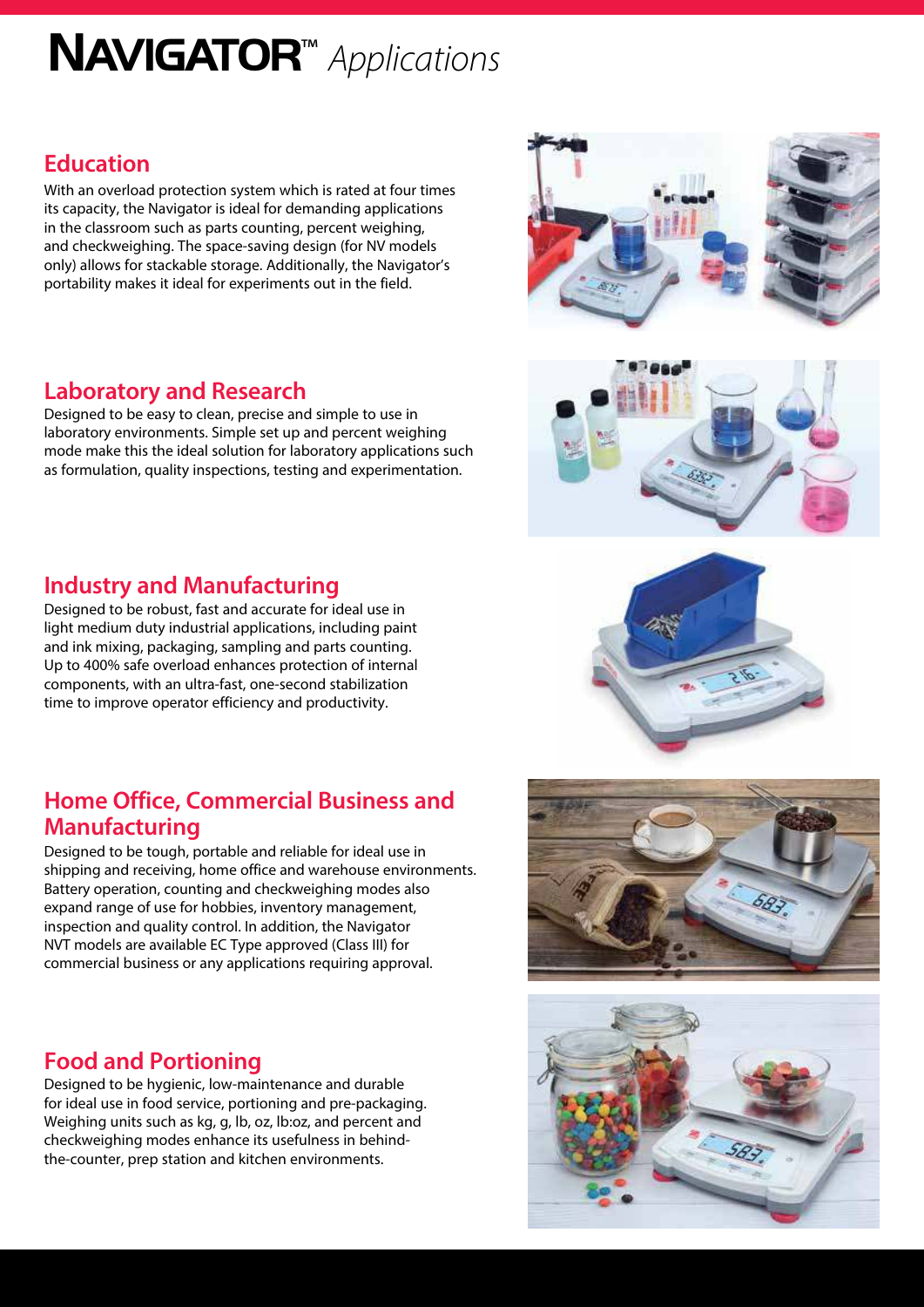# NAVIGATOR<sup>™</sup> Applications

# **Education**

With an overload protection system which is rated at four times its capacity, the Navigator is ideal for demanding applications in the classroom such as parts counting, percent weighing, and checkweighing. The space-saving design (for NV models only) allows for stackable storage. Additionally, the Navigator's portability makes it ideal for experiments out in the field.

## **Laboratory and Research**

Designed to be easy to clean, precise and simple to use in laboratory environments. Simple set up and percent weighing mode make this the ideal solution for laboratory applications such as formulation, quality inspections, testing and experimentation.

## **Industry and Manufacturing**

Designed to be robust, fast and accurate for ideal use in light medium duty industrial applications, including paint and ink mixing, packaging, sampling and parts counting. Up to 400% safe overload enhances protection of internal components, with an ultra-fast, one-second stabilization time to improve operator efficiency and productivity.

# **Home Office, Commercial Business and Manufacturing**

Designed to be tough, portable and reliable for ideal use in shipping and receiving, home office and warehouse environments. Battery operation, counting and checkweighing modes also expand range of use for hobbies, inventory management, inspection and quality control. In addition, the Navigator NVT models are available EC Type approved (Class III) for commercial business or any applications requiring approval.

# **Food and Portioning**

Designed to be hygienic, low-maintenance and durable for ideal use in food service, portioning and pre-packaging. Weighing units such as kg, g, lb, oz, lb:oz, and percent and checkweighing modes enhance its usefulness in behindthe-counter, prep station and kitchen environments.









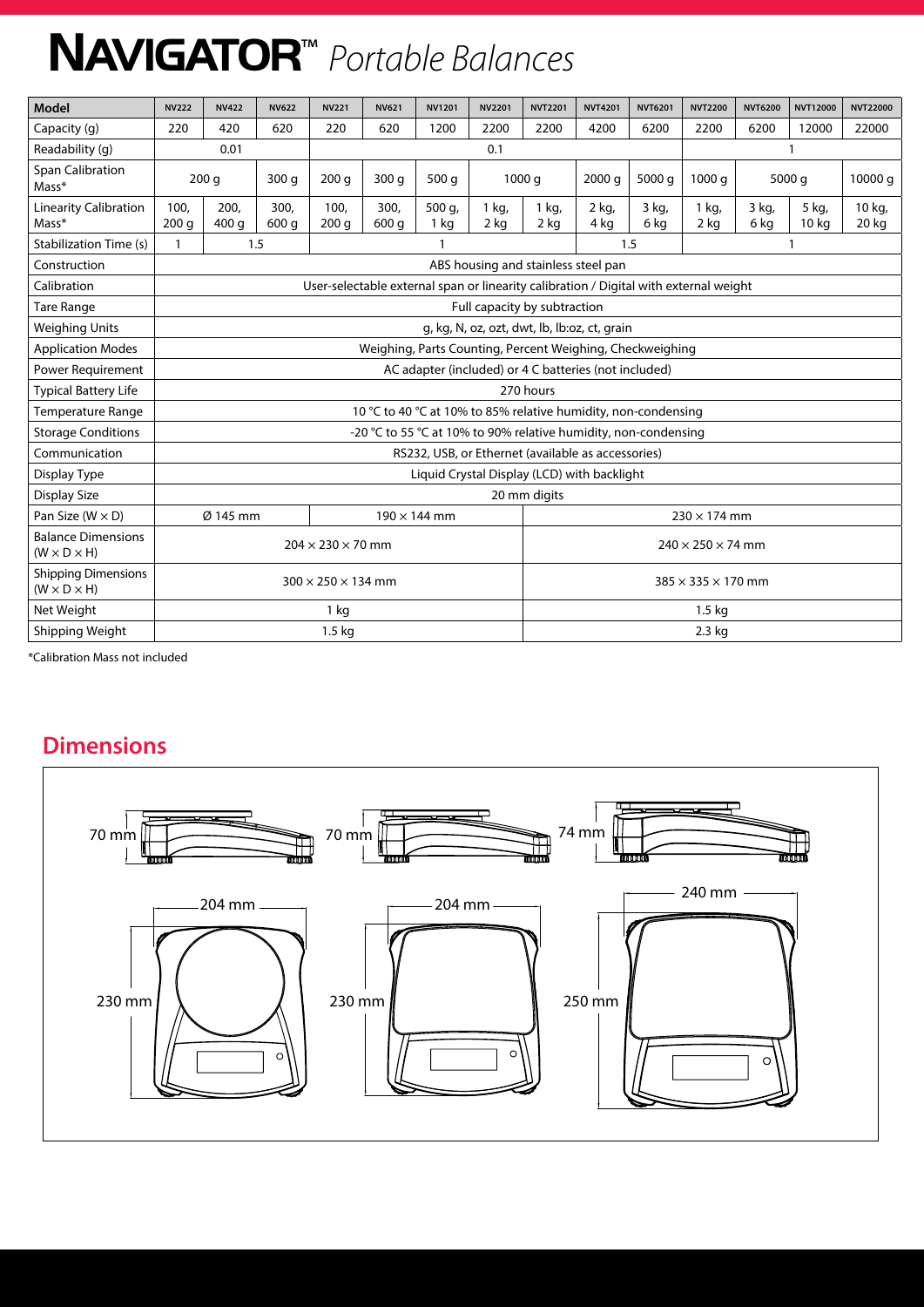# NAVIGATOR<sup>™</sup> Portable Balances

| Model                                                 | <b>NV222</b>                                                                          | <b>NV422</b>  | <b>NV622</b>  | <b>NV221</b>             | <b>NV621</b>  | <b>NV1201</b>                  | <b>NV2201</b>   | <b>NVT2201</b>      | <b>NVT4201</b> | <b>NVT6201</b> | <b>NVT2200</b> | <b>NVT6200</b>  | <b>NVT12000</b> | <b>NVT22000</b> |
|-------------------------------------------------------|---------------------------------------------------------------------------------------|---------------|---------------|--------------------------|---------------|--------------------------------|-----------------|---------------------|----------------|----------------|----------------|-----------------|-----------------|-----------------|
| Capacity (g)                                          | 220                                                                                   | 420           | 620           | 220                      | 620           | 1200                           | 2200            | 2200                | 4200           | 6200           | 2200           | 6200            | 12000           | 22000           |
| Readability (g)                                       | 0.01                                                                                  |               |               | 0.1                      |               |                                |                 |                     |                |                |                |                 |                 |                 |
| <b>Span Calibration</b><br>Mass*                      | 200q                                                                                  |               | 300q          | 200q                     | 300q          | 500q                           | 1000q           |                     | 2000q          | 5000 g         |                | 1000q<br>5000 g |                 | 10000 g         |
| <b>Linearity Calibration</b><br>Mass*                 | 100,<br>200q                                                                          | 200,<br>400 g | 300.<br>600 g | 100,<br>200q             | 300,<br>600 g | 500 g,<br>1 <sub>kg</sub>      | 1 kg,<br>$2$ kg | 1 kg,<br>2 kg       | 2 kg,<br>4 kg  | 3 kg,<br>6 kg  | 1 kg,<br>2 kg  | 3 kg,<br>6 kg   | 5 kg,<br>10 kg  | 10 kg,<br>20 kg |
| Stabilization Time (s)                                | 1.5<br>$\mathbf{1}$                                                                   |               |               | $\overline{\phantom{a}}$ |               |                                |                 | 1.5                 |                |                |                |                 |                 |                 |
| Construction                                          | ABS housing and stainless steel pan                                                   |               |               |                          |               |                                |                 |                     |                |                |                |                 |                 |                 |
| Calibration                                           | User-selectable external span or linearity calibration / Digital with external weight |               |               |                          |               |                                |                 |                     |                |                |                |                 |                 |                 |
| <b>Tare Range</b>                                     | Full capacity by subtraction                                                          |               |               |                          |               |                                |                 |                     |                |                |                |                 |                 |                 |
| <b>Weighing Units</b>                                 | g, kg, N, oz, ozt, dwt, lb, lb:oz, ct, grain                                          |               |               |                          |               |                                |                 |                     |                |                |                |                 |                 |                 |
| <b>Application Modes</b>                              | Weighing, Parts Counting, Percent Weighing, Checkweighing                             |               |               |                          |               |                                |                 |                     |                |                |                |                 |                 |                 |
| Power Requirement                                     | AC adapter (included) or 4 C batteries (not included)                                 |               |               |                          |               |                                |                 |                     |                |                |                |                 |                 |                 |
| <b>Typical Battery Life</b>                           | 270 hours                                                                             |               |               |                          |               |                                |                 |                     |                |                |                |                 |                 |                 |
| Temperature Range                                     | 10 °C to 40 °C at 10% to 85% relative humidity, non-condensing                        |               |               |                          |               |                                |                 |                     |                |                |                |                 |                 |                 |
| <b>Storage Conditions</b>                             | -20 °C to 55 °C at 10% to 90% relative humidity, non-condensing                       |               |               |                          |               |                                |                 |                     |                |                |                |                 |                 |                 |
| Communication                                         | RS232, USB, or Ethernet (available as accessories)                                    |               |               |                          |               |                                |                 |                     |                |                |                |                 |                 |                 |
| Display Type                                          | Liquid Crystal Display (LCD) with backlight                                           |               |               |                          |               |                                |                 |                     |                |                |                |                 |                 |                 |
| <b>Display Size</b>                                   | 20 mm digits                                                                          |               |               |                          |               |                                |                 |                     |                |                |                |                 |                 |                 |
| Pan Size ( $W \times D$ )                             |                                                                                       | Ø 145 mm      |               |                          |               | $190 \times 144$ mm            |                 | $230 \times 174$ mm |                |                |                |                 |                 |                 |
| <b>Balance Dimensions</b><br>$(W \times D \times H)$  | $204 \times 230 \times 70$ mm                                                         |               |               |                          |               | $240 \times 250 \times 74$ mm  |                 |                     |                |                |                |                 |                 |                 |
| <b>Shipping Dimensions</b><br>$(W \times D \times H)$ | $300 \times 250 \times 134$ mm                                                        |               |               |                          |               | $385 \times 335 \times 170$ mm |                 |                     |                |                |                |                 |                 |                 |
| Net Weight                                            | 1 kg                                                                                  |               |               |                          |               | 1.5 <sub>kq</sub>              |                 |                     |                |                |                |                 |                 |                 |
| Shipping Weight                                       | 1.5 <sub>kq</sub>                                                                     |               |               |                          |               | $2.3$ kg                       |                 |                     |                |                |                |                 |                 |                 |

\*Calibration Mass not included

# **Dimensions**